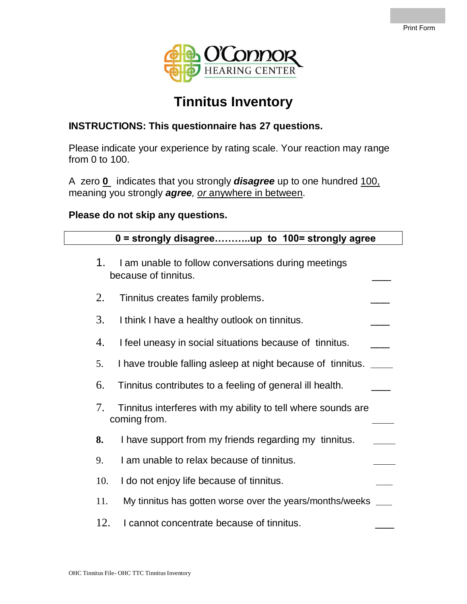

### **Tinnitus Inventory**

#### **INSTRUCTIONS: This questionnaire has 27 questions.**

Please indicate your experience by rating scale. Your reaction may range from 0 to 100.

A zero **0** indicates that you strongly *disagree* up to one hundred 100, meaning you strongly *agree, or* anywhere in between.

#### **Please do not skip any questions.**

# **0 = strongly disagree………..up to 100= strongly agree** 1. I am unable to follow conversations during meetings because of tinnitus. \_\_\_ 2. Tinnitus creates family problems. 3. I think I have a healthy outlook on tinnitus. 4. I feel uneasy in social situations because of tinnitus. 5. I have trouble falling asleep at night because of tinnitus. **\_\_\_\_** 6. Tinnitus contributes to a feeling of general ill health. \_\_\_ 7. Tinnitus interferes with my ability to tell where sounds are coming from. **\_\_\_\_ 8.** I have support from my friends regarding my tinnitus. **\_\_\_\_** 9. I am unable to relax because of tinnitus. **\_\_\_\_** 10. I do not enjoy life because of tinnitus. 11. My tinnitus has gotten worse over the years/months/weeks **\_\_\_** 12. I cannot concentrate because of tinnitus.